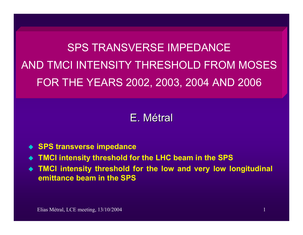SPS TRANSVERSE IMPEDANCEAND TMCI INTENSITY THRESHOLD FROM MOSESFOR THE YEARS 2002, 2003, 2004 AND 2006

# E. Métral

- **SPS transverse impedance**
- ♦ **TMCI intensity threshold for the LHC beam in the SPS**
- **TMCI intensity threshold for the low and very low longitudinal emittance beam in the SPS**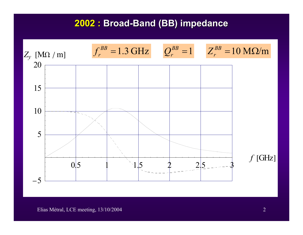### **2002 : Broad-Band (BB) impedance**

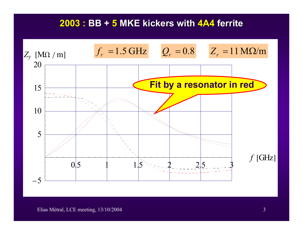### **2003 : BB + 5 MKE kickers with MKE kickers with 4A4 ferrite ferrite**



#### Elias Métral, LCE meeting, 13/10/2004 3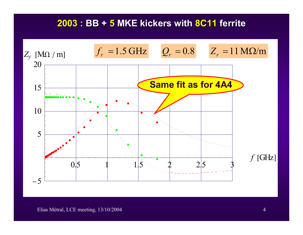### **2003 : BB + 5 MKE kickers with MKE kickers with 8C11 ferrite ferrite**

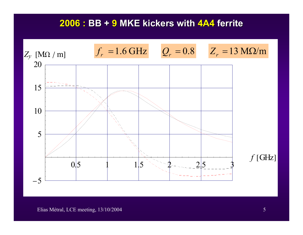#### **2006 : BB + 9 MKE kickers with MKE kickers with 4A4 ferrite ferrite**

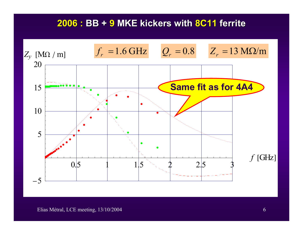### **2006 : BB + 9 MKE kickers with MKE kickers with 8C11 ferrite ferrite**



#### Elias Métral, LCE meeting, 13/10/2004 6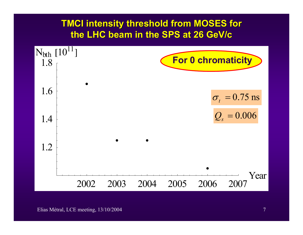## **TMCI intensity threshold from MOSES for the LHC beam in the SPS at 26 GeV/c**

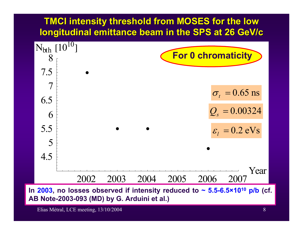# **TMCI intensity threshold from MOSES for the low longitudinal emittance beam in the SPS at 26 GeV/c**



Elias Métral, LCE meeting, 13/10/2004 8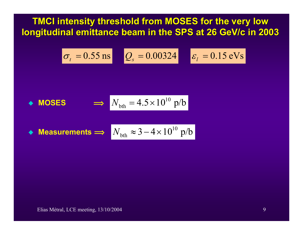**TMCI intensity threshold from MOSES for the very low longitudinal emittance beam in the SPS at 26 GeV/c in 2003** 

$$
\sigma_t = 0.55 \,\text{ns} \qquad Q_s = 0.00324 \qquad \varepsilon_l = 0.15 \,\text{eV}\,\text{s}
$$

• **MOSES** 
$$
\implies
$$
  $N_{\text{bth}} = 4.5 \times 10^{10} \text{ p/b}$ 

 $\blacklozenge$  Measurements  $\Longrightarrow$   $N_{\text{bth}} \approx 3\!-\!4\!\times\!10^{10}$   $\text{p/b}$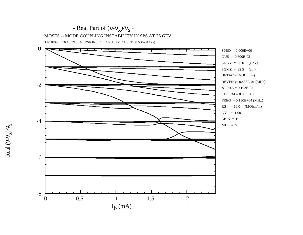

- ν  $\frac{s}{\lambda/\lambda^2}$ 

Real ( ν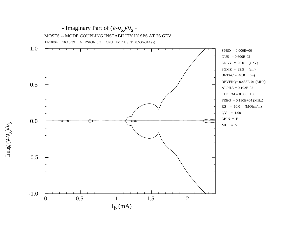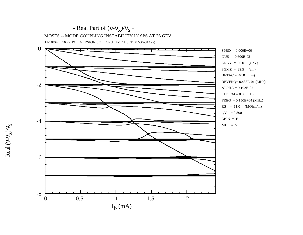



- ν  $\frac{s}{\lambda/\lambda^2}$ 

Real ( ν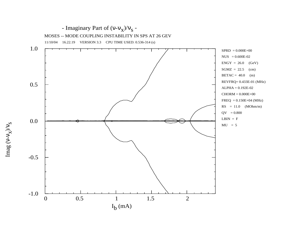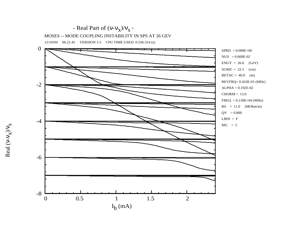

12/10/04 06.22.45 VERSION 3.3 CPU TIME USED: 0.536-314 (s)

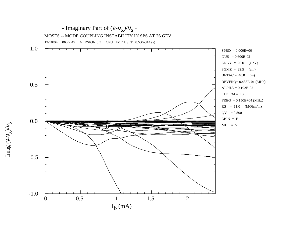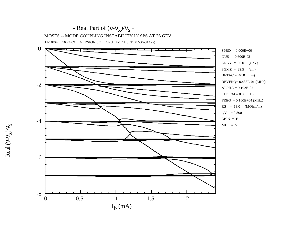

11/10/04 16.24.09 VERSION 3.3 CPU TIME USED: 0.536-314 (s)

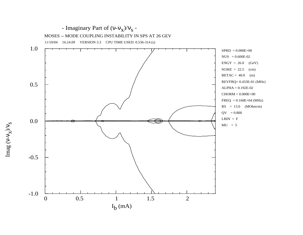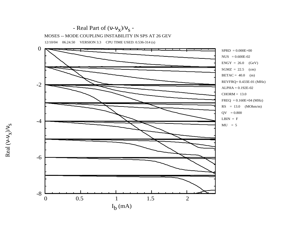

12/10/04 06.24.50 VERSION 3.3 CPU TIME USED: 0.536-314 (s)

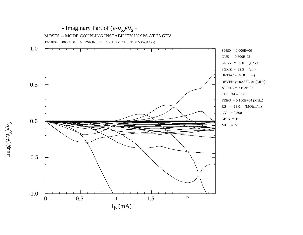

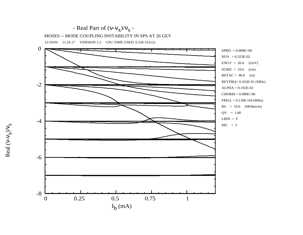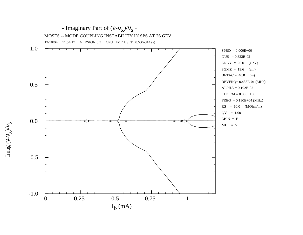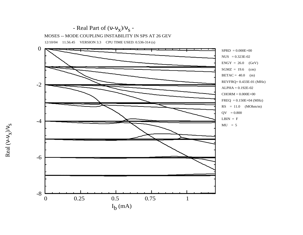

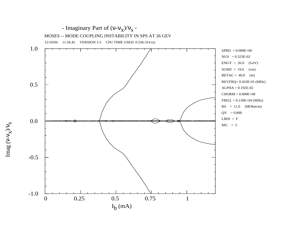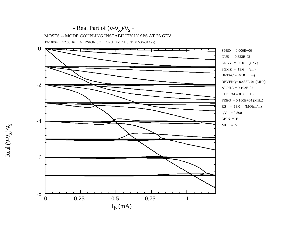

12/10/04 12.00.16 VERSION 3.3 CPU TIME USED: 0.536-314 (s)

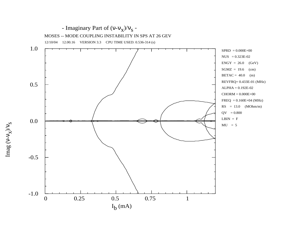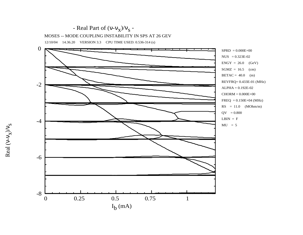

Real ( ν

- ν

 $\frac{s}{\lambda/\lambda^2}$ 

 $ENGY = 26.0$  (GeV)  $SGMZ = 16.5$  (cm)  $BETAC = 40.0$  (m) REVFRQ= 0.433E-01 (MHz) ALPHA = 0.192E-02 CHORM = 0.000E+00  $FREQ = 0.150E + 04$  (MHz)  $RS = 11.0$  (MOhm/m)

$$
RIN - F
$$